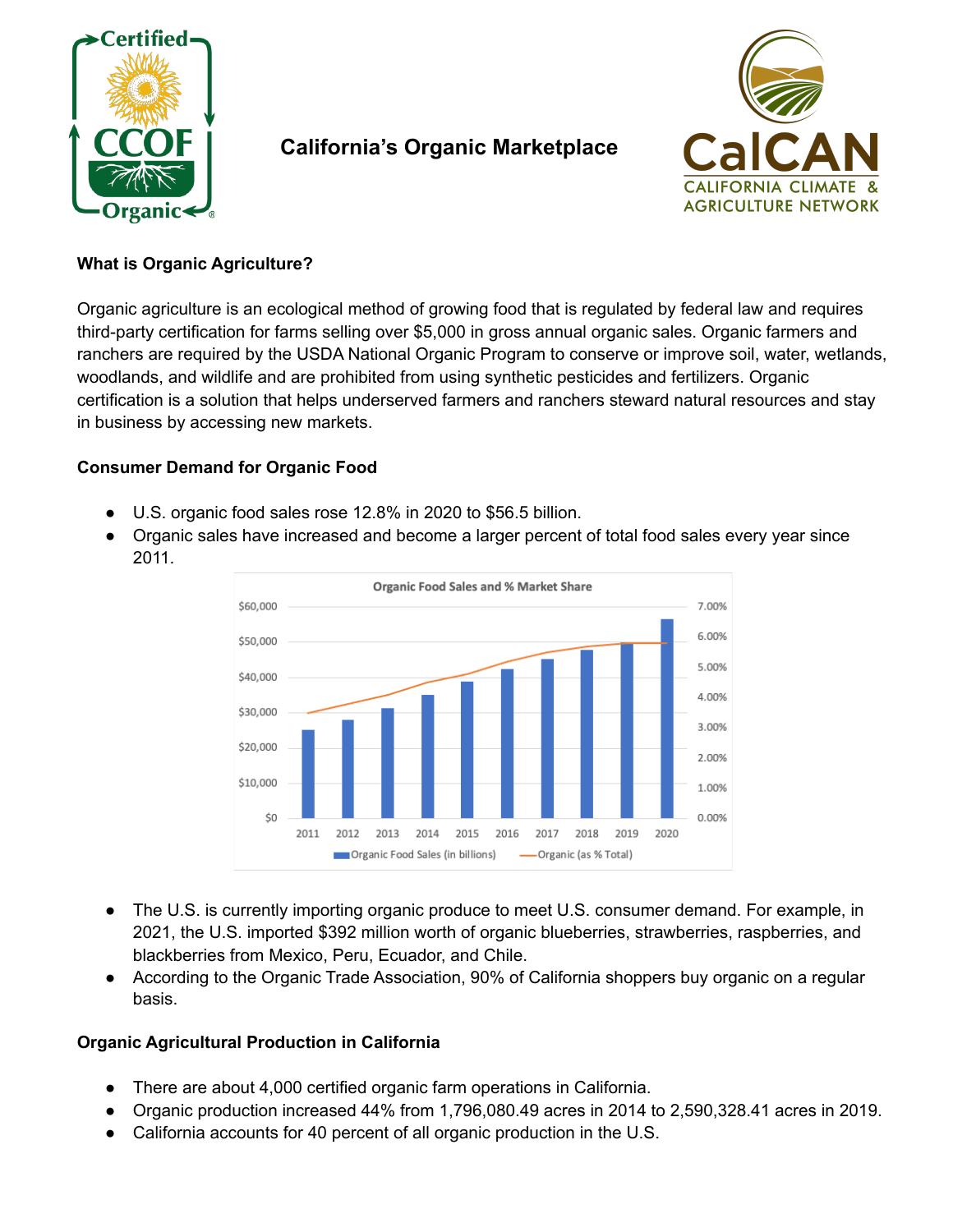

# **California's Organic Marketplace**



## **What is Organic Agriculture?**

Organic agriculture is an ecological method of growing food that is regulated by federal law and requires third-party certification for farms selling over \$5,000 in gross annual organic sales. Organic farmers and ranchers are required by the USDA National Organic Program to conserve or improve soil, water, wetlands, woodlands, and wildlife and are prohibited from using synthetic pesticides and fertilizers. Organic certification is a solution that helps underserved farmers and ranchers steward natural resources and stay in business by accessing new markets.

# **Consumer Demand for Organic Food**

- U.S. organic food sales rose 12.8% in 2020 to \$56.5 billion.
- Organic sales have increased and become a larger percent of total food sales every year since 2011.



- The U.S. is currently importing organic produce to meet U.S. consumer demand. For example, in 2021, the U.S. imported \$392 million worth of organic blueberries, strawberries, raspberries, and blackberries from Mexico, Peru, Ecuador, and Chile.
- According to the Organic Trade Association, 90% of California shoppers buy organic on a regular basis.

### **Organic Agricultural Production in California**

- There are about 4,000 certified organic farm operations in California.
- Organic production increased 44% from 1,796,080.49 acres in 2014 to 2,590,328.41 acres in 2019.
- California accounts for 40 percent of all organic production in the U.S.